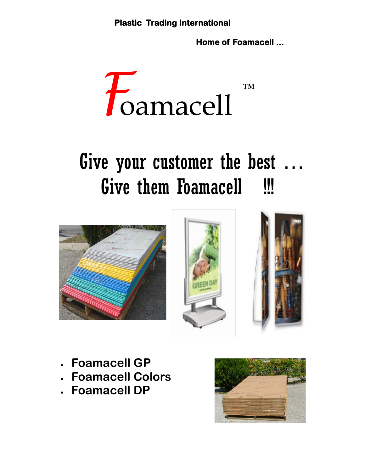**Plastic Trading International** 

 **Home of Foamacell ...** 



## Give your customer the best ... Give them Foamacell !!!





- **Foamacell GP**
- **Foamacell Colors**
- **Foamacell DP**

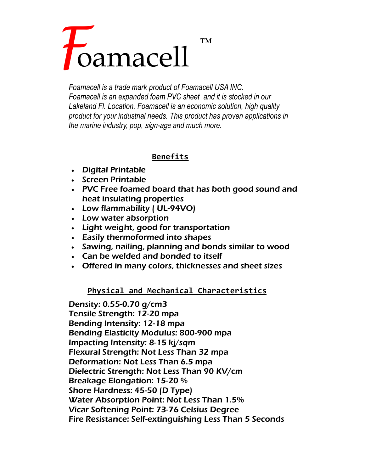# *F*oamacell TM<sub></sub>

*Foamacell is a trade mark product of Foamacell USA INC. Foamacell is an expanded foam PVC sheet and it is stocked in our Lakeland Fl. Location. Foamacell is an economic solution, high quality product for your industrial needs. This product has proven applications in the marine industry, pop,* sign-age *and much more.* 

#### **Benefits**

- Digital Printable
- Screen Printable
- PVC Free foamed board that has both good sound and heat insulating properties
- Low flammability ( UL-94VO)
- Low water absorption
- Light weight, good for transportation
- Easily thermoformed into shapes
- Sawing, nailing, planning and bonds similar to wood
- Can be welded and bonded to itself
- Offered in many colors, thicknesses and sheet sizes

#### **Physical and Mechanical Characteristics**

Density: 0.55-0.70 g/cm3 Tensile Strength: 12-20 mpa Bending Intensity: 12-18 mpa Bending Elasticity Modulus: 800-900 mpa Impacting Intensity: 8-15 kj/sqm Flexural Strength: Not Less Than 32 mpa Deformation: Not Less Than 6.5 mpa Dielectric Strength: Not Less Than 90 KV/cm Breakage Elongation: 15-20 % Shore Hardness: 45-50 (D Type) Water Absorption Point: Not Less Than 1.5% Vicar Softening Point: 73-76 Celsius Degree Fire Resistance: Self-extinguishing Less Than 5 Seconds